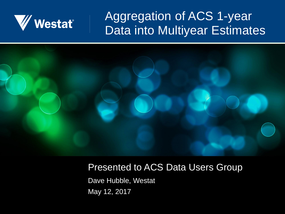

#### Aggregation of ACS 1-year Data into Multiyear Estimates



#### Presented to ACS Data Users Group

Dave Hubble, Westat May 12, 2017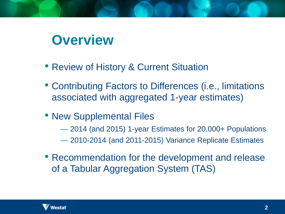#### **Overview**

- Review of History & Current Situation
- Contributing Factors to Differences (i.e., limitations associated with aggregated 1-year estimates)
- New Supplemental Files
	- 2014 (and 2015) 1-year Estimates for 20,000+ Populations
	- 2010-2014 (and 2011-2015) Variance Replicate Estimates
- Recommendation for the development and release of a Tabular Aggregation System (TAS)

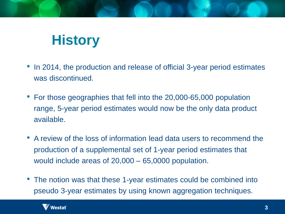# **History**

- In 2014, the production and release of official 3-year period estimates was discontinued.
- For those geographies that fell into the 20,000-65,000 population range, 5-year period estimates would now be the only data product available.
- A review of the loss of information lead data users to recommend the production of a supplemental set of 1-year period estimates that would include areas of 20,000 – 65,0000 population.
- The notion was that these 1-year estimates could be combined into pseudo 3-year estimates by using known aggregation techniques.

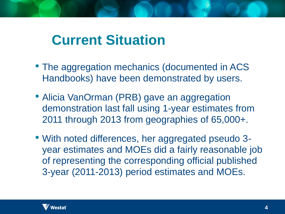### **Current Situation**

- The aggregation mechanics (documented in ACS Handbooks) have been demonstrated by users.
- Alicia VanOrman (PRB) gave an aggregation demonstration last fall using 1-year estimates from 2011 through 2013 from geographies of 65,000+.
- With noted differences, her aggregated pseudo 3 year estimates and MOEs did a fairly reasonable job of representing the corresponding official published 3-year (2011-2013) period estimates and MOEs.

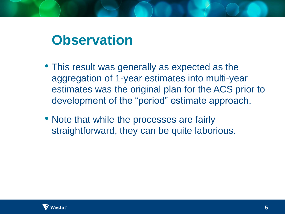### **Observation**

- This result was generally as expected as the aggregation of 1-year estimates into multi-year estimates was the original plan for the ACS prior to development of the "period" estimate approach.
- Note that while the processes are fairly straightforward, they can be quite laborious.

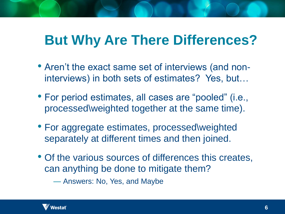## **But Why Are There Differences?**

- Aren't the exact same set of interviews (and noninterviews) in both sets of estimates? Yes, but…
- For period estimates, all cases are "pooled" (i.e., processed\weighted together at the same time).
- For aggregate estimates, processed\weighted separately at different times and then joined.
- Of the various sources of differences this creates, can anything be done to mitigate them?

— Answers: No, Yes, and Maybe

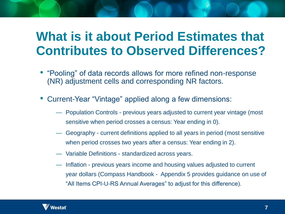#### **What is it about Period Estimates that Contributes to Observed Differences?**

- "Pooling" of data records allows for more refined non-response (NR) adjustment cells and corresponding NR factors.
- Current-Year "Vintage" applied along a few dimensions:
	- Population Controls previous years adjusted to current year vintage (most sensitive when period crosses a census: Year ending in 0).
	- Geography current definitions applied to all years in period (most sensitive when period crosses two years after a census: Year ending in 2).
	- Variable Definitions standardized across years.
	- Inflation previous years income and housing values adjusted to current year dollars (Compass Handbook - Appendix 5 provides guidance on use of "All Items CPI-U-RS Annual Averages" to adjust for this difference).

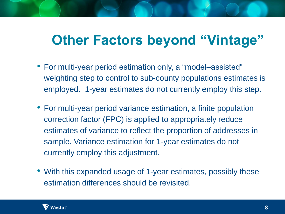## **Other Factors beyond "Vintage"**

- For multi-year period estimation only, a "model–assisted" weighting step to control to sub-county populations estimates is employed. 1-year estimates do not currently employ this step.
- For multi-year period variance estimation, a finite population correction factor (FPC) is applied to appropriately reduce estimates of variance to reflect the proportion of addresses in sample. Variance estimation for 1-year estimates do not currently employ this adjustment.
- With this expanded usage of 1-year estimates, possibly these estimation differences should be revisited.

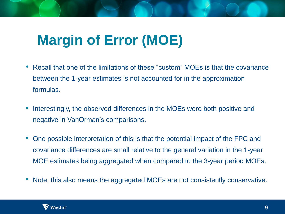# **Margin of Error (MOE)**

- Recall that one of the limitations of these "custom" MOEs is that the covariance between the 1-year estimates is not accounted for in the approximation formulas.
- Interestingly, the observed differences in the MOEs were both positive and negative in VanOrman's comparisons.
- One possible interpretation of this is that the potential impact of the FPC and covariance differences are small relative to the general variation in the 1-year MOE estimates being aggregated when compared to the 3-year period MOEs.
- Note, this also means the aggregated MOEs are not consistently conservative.

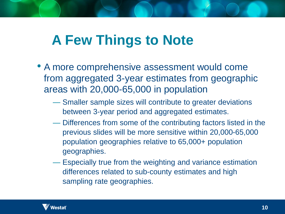# **A Few Things to Note**

- A more comprehensive assessment would come from aggregated 3-year estimates from geographic areas with 20,000-65,000 in population
	- Smaller sample sizes will contribute to greater deviations between 3-year period and aggregated estimates.
	- Differences from some of the contributing factors listed in the previous slides will be more sensitive within 20,000-65,000 population geographies relative to 65,000+ population geographies.
	- Especially true from the weighting and variance estimation differences related to sub-county estimates and high sampling rate geographies.

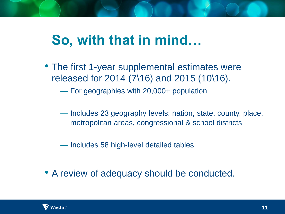# **So, with that in mind…**

• The first 1-year supplemental estimates were released for 2014 (7\16) and 2015 (10\16).

— For geographies with 20,000+ population

— Includes 23 geography levels: nation, state, county, place, metropolitan areas, congressional & school districts

— Includes 58 high-level detailed tables

• A review of adequacy should be conducted.

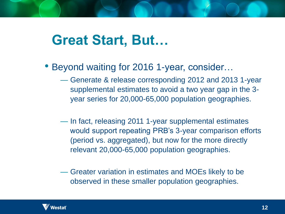### **Great Start, But…**

- Beyond waiting for 2016 1-year, consider…
	- Generate & release corresponding 2012 and 2013 1-year supplemental estimates to avoid a two year gap in the 3 year series for 20,000-65,000 population geographies.
	- In fact, releasing 2011 1-year supplemental estimates would support repeating PRB's 3-year comparison efforts (period vs. aggregated), but now for the more directly relevant 20,000-65,000 population geographies.
	- Greater variation in estimates and MOEs likely to be observed in these smaller population geographies.

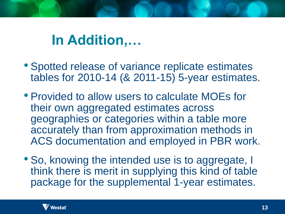## **In Addition,…**

- Spotted release of variance replicate estimates tables for 2010-14 (& 2011-15) 5-year estimates.
- Provided to allow users to calculate MOEs for their own aggregated estimates across geographies or categories within a table more accurately than from approximation methods in ACS documentation and employed in PBR work.
- So, knowing the intended use is to aggregate, I think there is merit in supplying this kind of table package for the supplemental 1-year estimates.

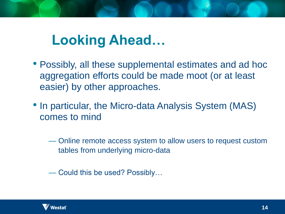# **Looking Ahead…**

- Possibly, all these supplemental estimates and ad hoc aggregation efforts could be made moot (or at least easier) by other approaches.
- In particular, the Micro-data Analysis System (MAS) comes to mind
	- Online remote access system to allow users to request custom tables from underlying micro-data

— Could this be used? Possibly…

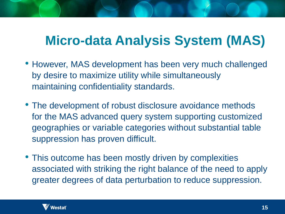### **Micro-data Analysis System (MAS)**

- However, MAS development has been very much challenged by desire to maximize utility while simultaneously maintaining confidentiality standards.
- The development of robust disclosure avoidance methods for the MAS advanced query system supporting customized geographies or variable categories without substantial table suppression has proven difficult.
- This outcome has been mostly driven by complexities associated with striking the right balance of the need to apply greater degrees of data perturbation to reduce suppression.

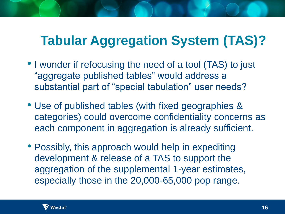### **Tabular Aggregation System (TAS)?**

- I wonder if refocusing the need of a tool (TAS) to just "aggregate published tables" would address a substantial part of "special tabulation" user needs?
- Use of published tables (with fixed geographies & categories) could overcome confidentiality concerns as each component in aggregation is already sufficient.
- Possibly, this approach would help in expediting development & release of a TAS to support the aggregation of the supplemental 1-year estimates, especially those in the 20,000-65,000 pop range.

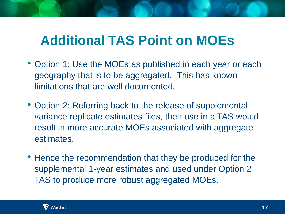#### **Additional TAS Point on MOEs**

- Option 1: Use the MOEs as published in each year or each geography that is to be aggregated. This has known limitations that are well documented.
- Option 2: Referring back to the release of supplemental variance replicate estimates files, their use in a TAS would result in more accurate MOEs associated with aggregate estimates.
- Hence the recommendation that they be produced for the supplemental 1-year estimates and used under Option 2 TAS to produce more robust aggregated MOEs.

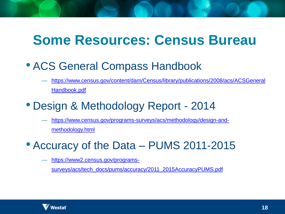#### **Some Resources: Census Bureau**

#### • ACS General Compass Handbook

— [https://www.census.gov/content/dam/Census/library/publications/2008/acs/ACSGeneral](https://www.census.gov/content/dam/Census/library/publications/2008/acs/ACSGeneralHandbook.pdf) Handbook.pdf

#### • Design & Methodology Report - 2014

— [https://www.census.gov/programs-surveys/acs/methodology/design-and](https://www.census.gov/programs-surveys/acs/methodology/design-and-methodology.html)methodology.html

#### • Accuracy of the Data – PUMS 2011-2015

https://www2.census.gov/programs-

[surveys/acs/tech\\_docs/pums/accuracy/2011\\_2015AccuracyPUMS.pdf](https://www2.census.gov/programs-surveys/acs/tech_docs/pums/accuracy/2011_2015AccuracyPUMS.pdf)

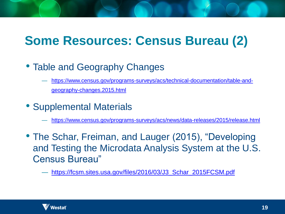### **Some Resources: Census Bureau (2)**

- Table and Geography Changes
	- [https://www.census.gov/programs-surveys/acs/technical-documentation/table-and](https://www.census.gov/programs-surveys/acs/technical-documentation/table-and-geography-changes.2015.html)geography-changes.2015.html
- Supplemental Materials
	- <https://www.census.gov/programs-surveys/acs/news/data-releases/2015/release.html>
- The Schar, Freiman, and Lauger (2015), "Developing and Testing the Microdata Analysis System at the U.S. Census Bureau"
	- [https://fcsm.sites.usa.gov/files/2016/03/J3\\_Schar\\_2015FCSM.pdf](https://fcsm.sites.usa.gov/files/2016/03/J3_Schar_2015FCSM.pdf)